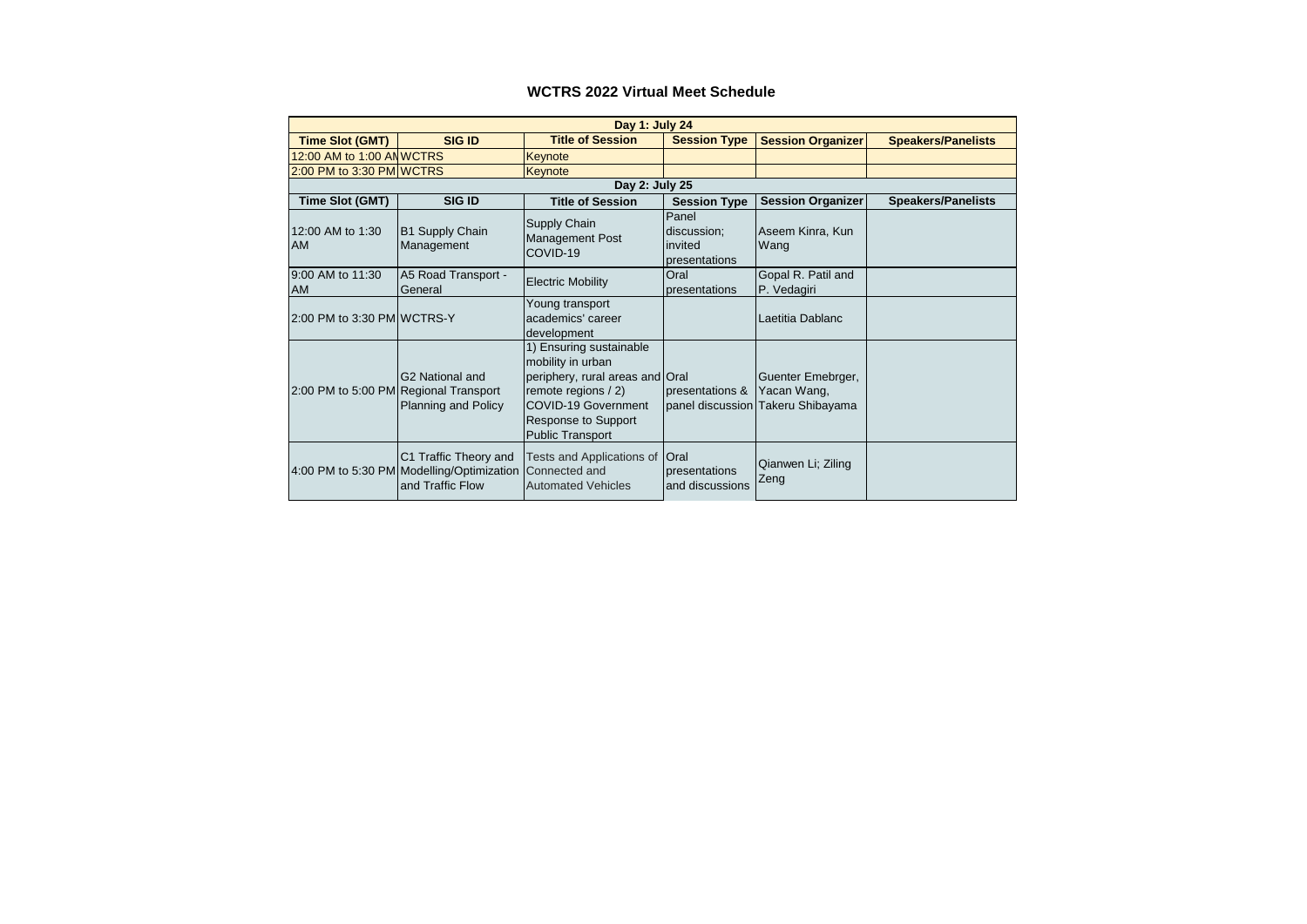# **WCTRS 2022 Virtual Meet Schedule**

| Day 1: July 24                        |                                                                                        |                                                                                                                                                                                 |                                                  |                                                                       |                           |
|---------------------------------------|----------------------------------------------------------------------------------------|---------------------------------------------------------------------------------------------------------------------------------------------------------------------------------|--------------------------------------------------|-----------------------------------------------------------------------|---------------------------|
| <b>Time Slot (GMT)</b>                | <b>SIG ID</b>                                                                          | <b>Title of Session</b>                                                                                                                                                         | <b>Session Type</b>                              | <b>Session Organizer</b>                                              | <b>Speakers/Panelists</b> |
| 12:00 AM to 1:00 ANWCTRS              |                                                                                        | Keynote                                                                                                                                                                         |                                                  |                                                                       |                           |
| 2:00 PM to 3:30 PM WCTRS              |                                                                                        | <b>Keynote</b>                                                                                                                                                                  |                                                  |                                                                       |                           |
|                                       |                                                                                        | Day 2: July 25                                                                                                                                                                  |                                                  |                                                                       |                           |
| Time Slot (GMT)                       | <b>SIG ID</b>                                                                          | <b>Title of Session</b>                                                                                                                                                         | <b>Session Type</b>                              | <b>Session Organizer</b>                                              | <b>Speakers/Panelists</b> |
| 12:00 AM to 1:30<br><b>AM</b>         | <b>B1 Supply Chain</b><br>Management                                                   | Supply Chain<br><b>Management Post</b><br>COVID-19                                                                                                                              | Panel<br>discussion:<br>invited<br>presentations | Aseem Kinra, Kun<br>Wang                                              |                           |
| 9:00 AM to 11:30<br><b>AM</b>         | A5 Road Transport -<br>General                                                         | <b>Electric Mobility</b>                                                                                                                                                        | Oral<br>presentations                            | Gopal R. Patil and<br>P. Vedagiri                                     |                           |
| 2:00 PM to 3:30 PM WCTRS-Y            |                                                                                        | Young transport<br>academics' career<br>development                                                                                                                             |                                                  | Laetitia Dablanc                                                      |                           |
| 2:00 PM to 5:00 PM Regional Transport | G <sub>2</sub> National and<br>Planning and Policy                                     | 1) Ensuring sustainable<br>mobility in urban<br>periphery, rural areas and Oral<br>remote regions / 2)<br>COVID-19 Government<br>Response to Support<br><b>Public Transport</b> | presentations &                                  | Guenter Emebrger,<br>Yacan Wang,<br>panel discussion Takeru Shibayama |                           |
|                                       | C1 Traffic Theory and<br>4:00 PM to 5:30 PM Modelling/Optimization<br>and Traffic Flow | Tests and Applications of<br>Connected and<br><b>Automated Vehicles</b>                                                                                                         | <b>Oral</b><br>presentations<br>and discussions  | Qianwen Li; Ziling<br>Zeng                                            |                           |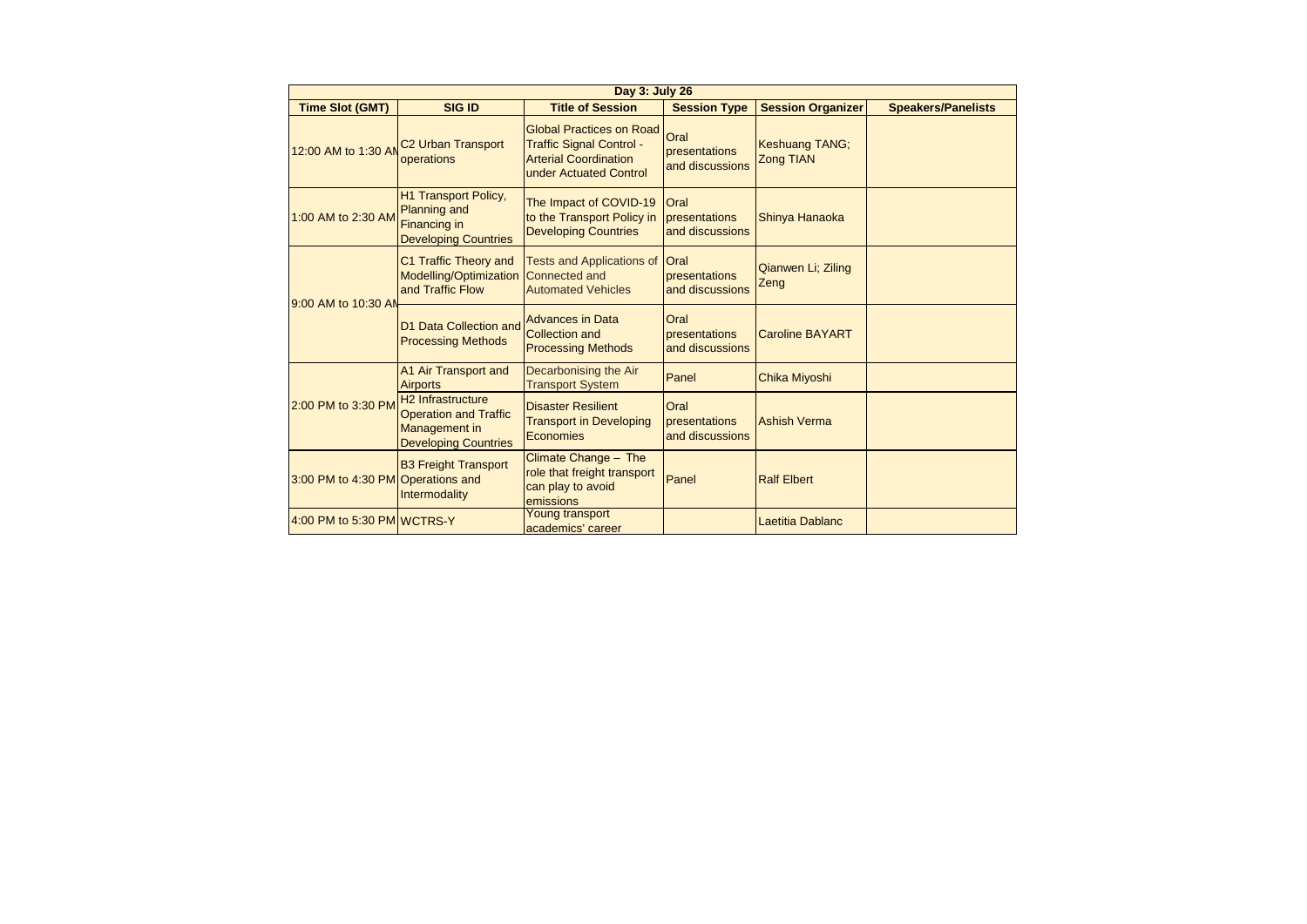|  | Day 3: July 26                    |                                                                                                               |                                                                                                                              |                                                 |                                    |                           |  |
|--|-----------------------------------|---------------------------------------------------------------------------------------------------------------|------------------------------------------------------------------------------------------------------------------------------|-------------------------------------------------|------------------------------------|---------------------------|--|
|  | <b>Time Slot (GMT)</b>            | <b>SIG ID</b>                                                                                                 | <b>Title of Session</b>                                                                                                      | <b>Session Type</b>                             | <b>Session Organizer</b>           | <b>Speakers/Panelists</b> |  |
|  | 12:00 AM to 1:30 AM               | <b>C2 Urban Transport</b><br>operations                                                                       | <b>Global Practices on Road</b><br><b>Traffic Signal Control -</b><br><b>Arterial Coordination</b><br>under Actuated Control | Oral<br>presentations<br>and discussions        | Keshuang TANG;<br><b>Zong TIAN</b> |                           |  |
|  | 1:00 AM to 2:30 AM                | <b>H1 Transport Policy,</b><br><b>Planning and</b><br>Financing in<br><b>Developing Countries</b>             | The Impact of COVID-19<br>to the Transport Policy in<br><b>Developing Countries</b>                                          | <b>Oral</b><br>presentations<br>and discussions | Shinya Hanaoka                     |                           |  |
|  | 9:00 AM to 10:30 AN               | C1 Traffic Theory and<br>Modelling/Optimization<br>and Traffic Flow                                           | <b>Tests and Applications of</b><br><b>Connected and</b><br><b>Automated Vehicles</b>                                        | <b>Oral</b><br>presentations<br>and discussions | Qianwen Li; Ziling<br>Zeng         |                           |  |
|  |                                   | D1 Data Collection and<br><b>Processing Methods</b>                                                           | <b>Advances in Data</b><br><b>Collection and</b><br><b>Processing Methods</b>                                                | Oral<br>presentations<br>and discussions        | <b>Caroline BAYART</b>             |                           |  |
|  | 2:00 PM to 3:30 PM                | A1 Air Transport and<br><b>Airports</b>                                                                       | Decarbonising the Air<br><b>Transport System</b>                                                                             | Panel                                           | Chika Miyoshi                      |                           |  |
|  |                                   | H <sub>2</sub> Infrastructure<br><b>Operation and Traffic</b><br>Management in<br><b>Developing Countries</b> | <b>Disaster Resilient</b><br><b>Transport in Developing</b><br>Economies                                                     | Oral<br>presentations<br>and discussions        | <b>Ashish Verma</b>                |                           |  |
|  | 3:00 PM to 4:30 PM Operations and | <b>B3 Freight Transport</b><br>Intermodality                                                                  | Climate Change - The<br>role that freight transport<br>can play to avoid<br>emissions                                        | Panel                                           | <b>Ralf Elbert</b>                 |                           |  |
|  | 4:00 PM to 5:30 PM WCTRS-Y        |                                                                                                               | Young transport<br>academics' career                                                                                         |                                                 | Laetitia Dablanc                   |                           |  |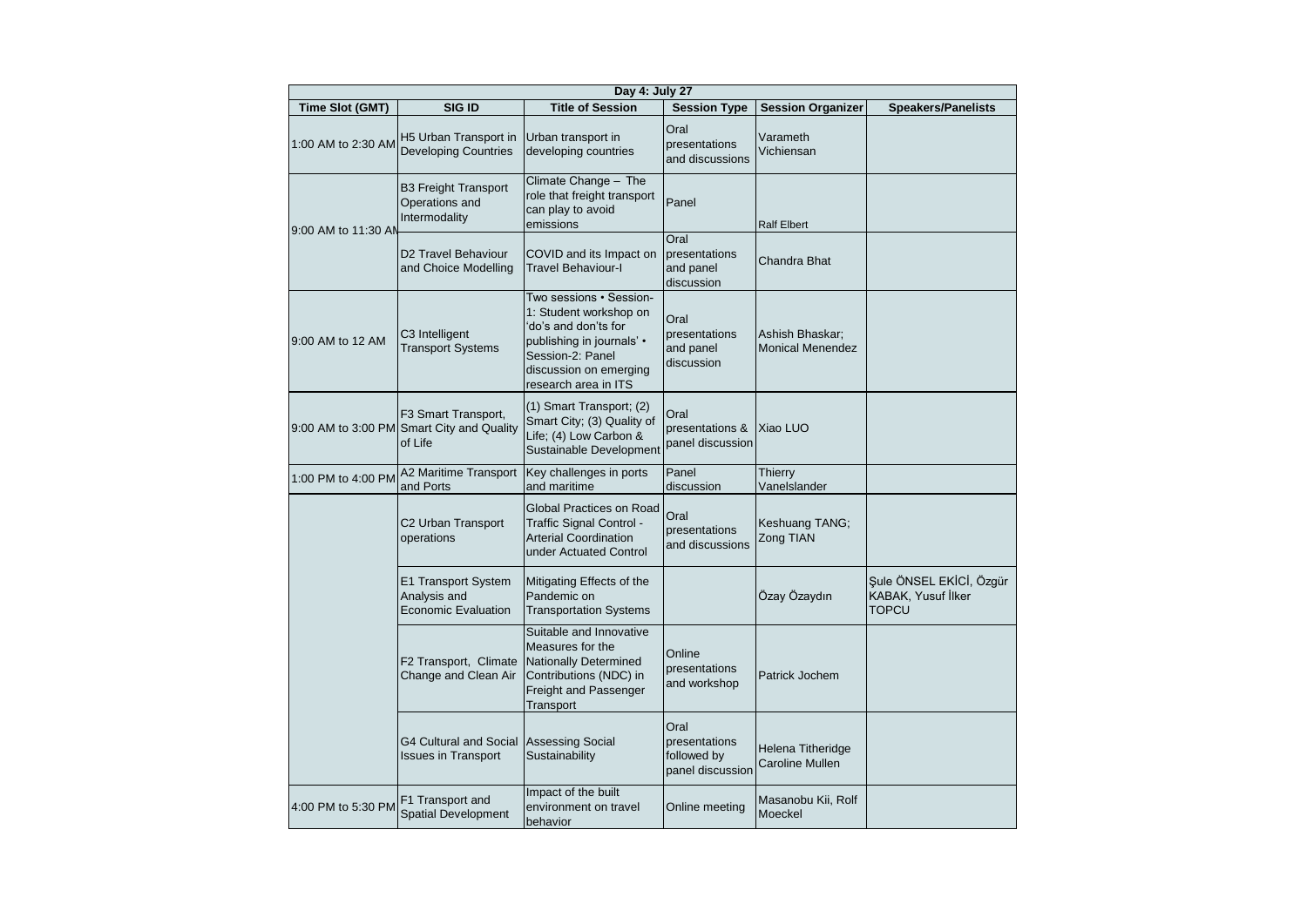| Day 4: July 27         |                                                                             |                                                                                                                                                                              |                                                          |                                             |                                                                      |
|------------------------|-----------------------------------------------------------------------------|------------------------------------------------------------------------------------------------------------------------------------------------------------------------------|----------------------------------------------------------|---------------------------------------------|----------------------------------------------------------------------|
| <b>Time Slot (GMT)</b> | SIG ID                                                                      | <b>Title of Session</b>                                                                                                                                                      | <b>Session Type</b>                                      | <b>Session Organizer</b>                    | <b>Speakers/Panelists</b>                                            |
| 1:00 AM to 2:30 AM     | H5 Urban Transport in<br><b>Developing Countries</b>                        | Urban transport in<br>developing countries                                                                                                                                   | Oral<br>presentations<br>and discussions                 | Varameth<br>Vichiensan                      |                                                                      |
| 9:00 AM to 11:30 AM    | <b>B3 Freight Transport</b><br>Operations and<br>Intermodality              | Climate Change - The<br>role that freight transport<br>can play to avoid<br>emissions                                                                                        | Panel                                                    | <b>Ralf Elbert</b>                          |                                                                      |
|                        | D2 Travel Behaviour<br>and Choice Modelling                                 | COVID and its Impact on<br><b>Travel Behaviour-I</b>                                                                                                                         | Oral<br>presentations<br>and panel<br>discussion         | Chandra Bhat                                |                                                                      |
| 9:00 AM to 12 AM       | C3 Intelligent<br><b>Transport Systems</b>                                  | Two sessions • Session-<br>1: Student workshop on<br>'do's and don'ts for<br>publishing in journals' •<br>Session-2: Panel<br>discussion on emerging<br>research area in ITS | Oral<br>presentations<br>and panel<br>discussion         | Ashish Bhaskar;<br><b>Monical Menendez</b>  |                                                                      |
|                        | F3 Smart Transport,<br>9:00 AM to 3:00 PM Smart City and Quality<br>of Life | (1) Smart Transport; (2)<br>Smart City; (3) Quality of<br>Life; (4) Low Carbon &<br>Sustainable Development                                                                  | Oral<br>presentations &<br>panel discussion              | Xiao LUO                                    |                                                                      |
| 1:00 PM to 4:00 PM     | A2 Maritime Transport<br>and Ports                                          | Key challenges in ports<br>and maritime                                                                                                                                      | Panel<br>discussion                                      | Thierry<br>Vanelslander                     |                                                                      |
|                        | C2 Urban Transport<br>operations                                            | Global Practices on Road<br>Traffic Signal Control -<br><b>Arterial Coordination</b><br>under Actuated Control                                                               | Oral<br>presentations<br>and discussions                 | Keshuang TANG;<br>Zong TIAN                 |                                                                      |
|                        | E1 Transport System<br>Analysis and<br>Economic Evaluation                  | Mitigating Effects of the<br>Pandemic on<br><b>Transportation Systems</b>                                                                                                    |                                                          | Özay Özaydın                                | Şule ÖNSEL EKİCİ, Özgür<br><b>KABAK, Yusuf İlker</b><br><b>TOPCU</b> |
|                        | F2 Transport, Climate<br>Change and Clean Air                               | Suitable and Innovative<br>Measures for the<br><b>Nationally Determined</b><br>Contributions (NDC) in<br>Freight and Passenger<br>Transport                                  | Online<br>presentations<br>and workshop                  | Patrick Jochem                              |                                                                      |
|                        | <b>G4 Cultural and Social</b><br><b>Issues in Transport</b>                 | <b>Assessing Social</b><br>Sustainability                                                                                                                                    | Oral<br>presentations<br>followed by<br>panel discussion | Helena Titheridge<br><b>Caroline Mullen</b> |                                                                      |
| 4:00 PM to 5:30 PM     | F1 Transport and<br>Spatial Development                                     | Impact of the built<br>environment on travel<br>behavior                                                                                                                     | Online meeting                                           | Masanobu Kii, Rolf<br>Moeckel               |                                                                      |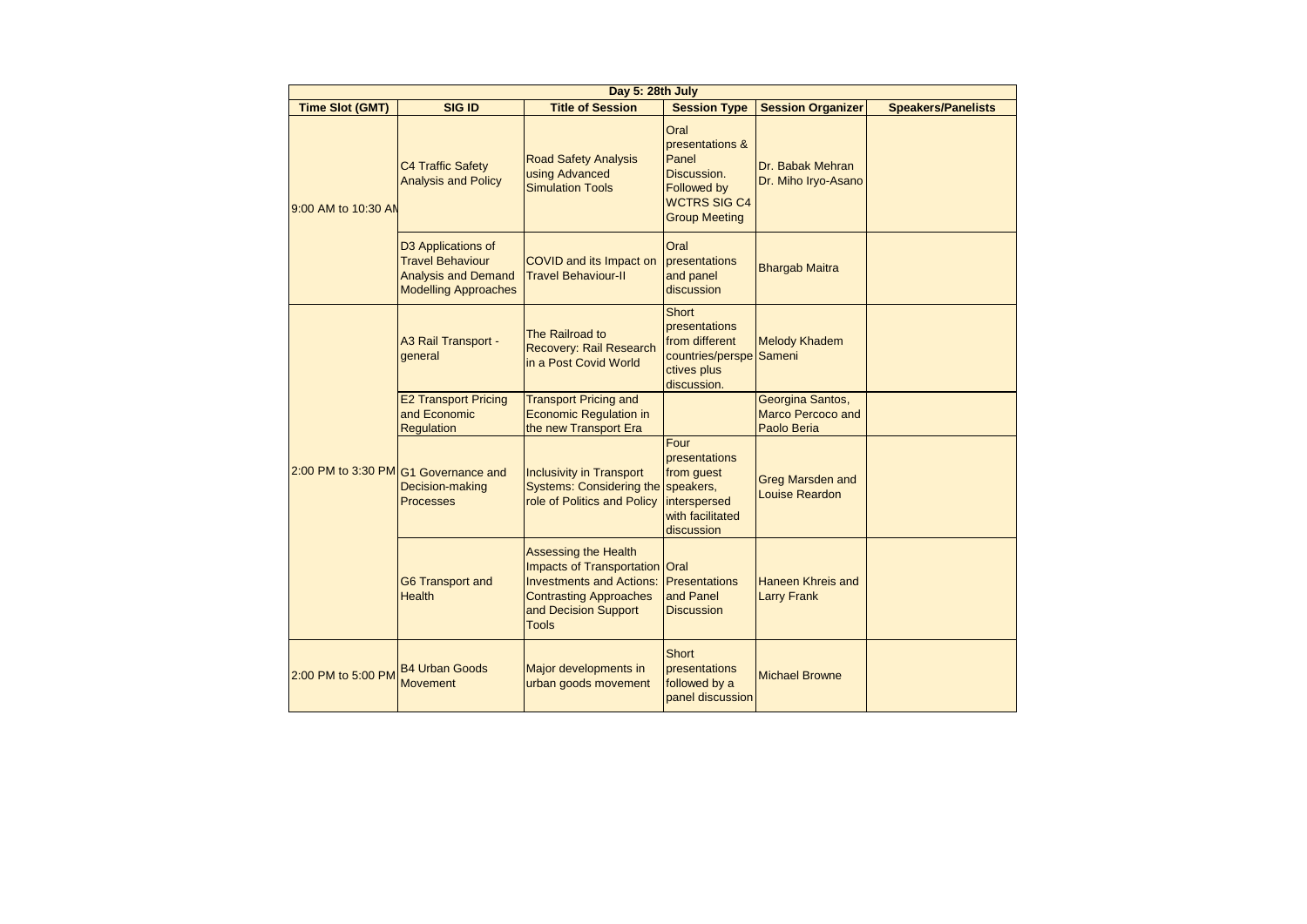|  | Day 5: 28th July       |                                                                                                            |                                                                                                                                                                           |                                                                                                               |                                                      |                           |
|--|------------------------|------------------------------------------------------------------------------------------------------------|---------------------------------------------------------------------------------------------------------------------------------------------------------------------------|---------------------------------------------------------------------------------------------------------------|------------------------------------------------------|---------------------------|
|  | <b>Time Slot (GMT)</b> | <b>SIG ID</b>                                                                                              | <b>Title of Session</b>                                                                                                                                                   | <b>Session Type</b>                                                                                           | <b>Session Organizer</b>                             | <b>Speakers/Panelists</b> |
|  | 9:00 AM to 10:30 AN    | <b>C4 Traffic Safety</b><br><b>Analysis and Policy</b>                                                     | <b>Road Safety Analysis</b><br>using Advanced<br><b>Simulation Tools</b>                                                                                                  | Oral<br>presentations &<br>Panel<br>Discussion.<br>Followed by<br><b>WCTRS SIG C4</b><br><b>Group Meeting</b> | Dr. Babak Mehran<br>Dr. Miho Iryo-Asano              |                           |
|  |                        | D3 Applications of<br><b>Travel Behaviour</b><br><b>Analysis and Demand</b><br><b>Modelling Approaches</b> | COVID and its Impact on<br><b>Travel Behaviour-II</b>                                                                                                                     | Oral<br>presentations<br>and panel<br>discussion                                                              | <b>Bhargab Maitra</b>                                |                           |
|  |                        | A3 Rail Transport -<br>general                                                                             | The Railroad to<br>Recovery: Rail Research<br>in a Post Covid World                                                                                                       | <b>Short</b><br>presentations<br>from different<br>countries/perspe Sameni<br>ctives plus<br>discussion.      | <b>Melody Khadem</b>                                 |                           |
|  |                        | <b>E2 Transport Pricing</b><br>and Economic<br><b>Regulation</b>                                           | <b>Transport Pricing and</b><br><b>Economic Regulation in</b><br>the new Transport Era                                                                                    |                                                                                                               | Georgina Santos,<br>Marco Percoco and<br>Paolo Beria |                           |
|  |                        | 2:00 PM to 3:30 PM G1 Governance and<br>Decision-making<br><b>Processes</b>                                | <b>Inclusivity in Transport</b><br>Systems: Considering the speakers,<br>role of Politics and Policy                                                                      | Four<br>presentations<br>from guest<br>interspersed<br>with facilitated<br>discussion                         | <b>Greg Marsden and</b><br><b>Louise Reardon</b>     |                           |
|  |                        | <b>G6 Transport and</b><br><b>Health</b>                                                                   | <b>Assessing the Health</b><br>Impacts of Transportation Oral<br><b>Investments and Actions:</b><br><b>Contrasting Approaches</b><br>and Decision Support<br><b>Tools</b> | <b>Presentations</b><br>and Panel<br><b>Discussion</b>                                                        | Haneen Khreis and<br><b>Larry Frank</b>              |                           |
|  | 2:00 PM to 5:00 PM     | <b>B4 Urban Goods</b><br><b>Movement</b>                                                                   | Major developments in<br>urban goods movement                                                                                                                             | <b>Short</b><br>presentations<br>followed by a<br>panel discussion                                            | <b>Michael Browne</b>                                |                           |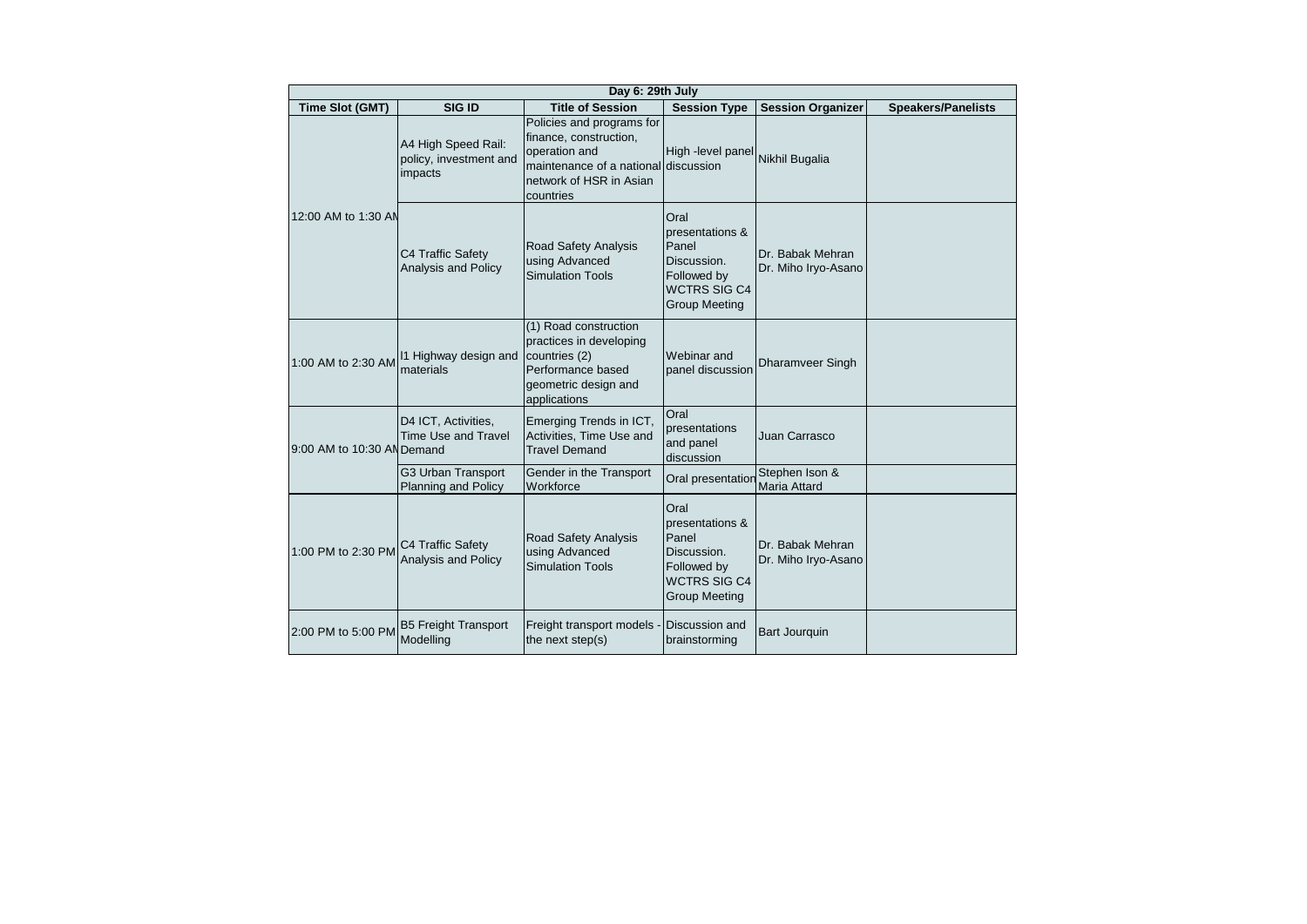| Day 6: 29th July           |                                                          |                                                                                                                                                      |                                                                                                               |                                         |                           |
|----------------------------|----------------------------------------------------------|------------------------------------------------------------------------------------------------------------------------------------------------------|---------------------------------------------------------------------------------------------------------------|-----------------------------------------|---------------------------|
| Time Slot (GMT)            | SIG ID                                                   | <b>Title of Session</b>                                                                                                                              | <b>Session Type</b>                                                                                           | <b>Session Organizer</b>                | <b>Speakers/Panelists</b> |
|                            | A4 High Speed Rail:<br>policy, investment and<br>impacts | Policies and programs for<br>finance, construction,<br>operation and<br>maintenance of a national discussion<br>network of HSR in Asian<br>countries | High -level panel                                                                                             | Nikhil Bugalia                          |                           |
| 12:00 AM to 1:30 AN        | C4 Traffic Safety<br>Analysis and Policy                 | Road Safety Analysis<br>using Advanced<br><b>Simulation Tools</b>                                                                                    | Oral<br>presentations &<br>Panel<br>Discussion.<br>Followed by<br><b>WCTRS SIG C4</b><br><b>Group Meeting</b> | Dr. Babak Mehran<br>Dr. Miho Iryo-Asano |                           |
| 1:00 AM to 2:30 AM         | 11 Highway design and<br>materials                       | (1) Road construction<br>practices in developing<br>countries (2)<br>Performance based<br>geometric design and<br>applications                       | Webinar and<br>panel discussion                                                                               | Dharamveer Singh                        |                           |
| 9:00 AM to 10:30 AN Demand | D4 ICT, Activities,<br><b>Time Use and Travel</b>        | Emerging Trends in ICT,<br>Activities, Time Use and<br><b>Travel Demand</b>                                                                          | Oral<br>presentations<br>and panel<br>discussion                                                              | Juan Carrasco                           |                           |
|                            | G3 Urban Transport<br><b>Planning and Policy</b>         | Gender in the Transport<br>Workforce                                                                                                                 | Oral presentation                                                                                             | Stephen Ison &<br><b>Maria Attard</b>   |                           |
| 1:00 PM to 2:30 PM         | C4 Traffic Safety<br>Analysis and Policy                 | Road Safety Analysis<br>using Advanced<br><b>Simulation Tools</b>                                                                                    | Oral<br>presentations &<br>Panel<br>Discussion.<br>Followed by<br><b>WCTRS SIG C4</b><br><b>Group Meeting</b> | Dr. Babak Mehran<br>Dr. Miho Iryo-Asano |                           |
| 2:00 PM to 5:00 PM         | <b>B5 Freight Transport</b><br>Modelling                 | Freight transport models -<br>the next step(s)                                                                                                       | <b>Discussion and</b><br>brainstorming                                                                        | <b>Bart Jourquin</b>                    |                           |